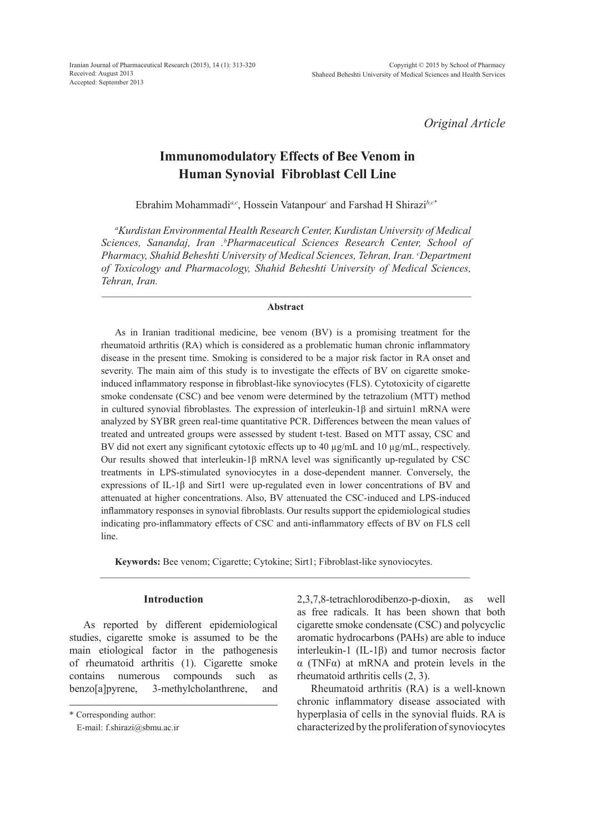*Original Article*

# **Immunomodulatory Effects of Bee Venom in Human Synovial Fibroblast Cell Line**

Ebrahim Mohammadi*a,c*, Hossein Vatanpour*<sup>c</sup>* and Farshad H Shirazi*b,c\**

*a Kurdistan Environmental Health Research Center, Kurdistan University of Medical Sciences, Sanandaj, Iran .b Pharmaceutical Sciences Research Center, School of Pharmacy, Shahid Beheshti University of Medical Sciences, Tehran, Iran. c Department of Toxicology and Pharmacology, Shahid Beheshti University of Medical Sciences, Tehran, Iran.*

### **Abstract**

As in Iranian traditional medicine, bee venom (BV) is a promising treatment for the rheumatoid arthritis (RA) which is considered as a problematic human chronic inflammatory disease in the present time. Smoking is considered to be a major risk factor in RA onset and severity. The main aim of this study is to investigate the effects of BV on cigarette smokeinduced inflammatory response in fibroblast-like synoviocytes (FLS). Cytotoxicity of cigarette smoke condensate (CSC) and bee venom were determined by the tetrazolium (MTT) method in cultured synovial fibroblastes. The expression of interleukin-1 $\beta$  and sirtuin1 mRNA were analyzed by SYBR green real-time quantitative PCR. Differences between the mean values of treated and untreated groups were assessed by student t-test. Based on MTT assay, CSC and BV did not exert any significant cytotoxic effects up to 40  $\mu$ g/mL and 10  $\mu$ g/mL, respectively. Our results showed that interleukin- $1\beta$  mRNA level was significantly up-regulated by CSC treatments in LPS-stimulated synoviocytes in a dose-dependent manner. Conversely, the expressions of IL-1 $\beta$  and Sirt1 were up-regulated even in lower concentrations of BV and attenuated at higher concentrations. Also, BV attenuated the CSC-induced and LPS-induced inflammatory responses in synovial fibroblasts. Our results support the epidemiological studies indicating pro-inflammatory effects of CSC and anti-inflammatory effects of BV on FLS cell line.

**Keywords:** Bee venom; Cigarette; Cytokine; Sirt1; Fibroblast-like synoviocytes.

## **Introduction**

As reported by different epidemiological studies, cigarette smoke is assumed to be the main etiological factor in the pathogenesis of rheumatoid arthritis (1). Cigarette smoke contains numerous compounds such as benzo[a]pyrene, 3-methylcholanthrene, and 2,3,7,8-tetrachlorodibenzo-p-dioxin, as well as free radicals. It has been shown that both cigarette smoke condensate (CSC) and polycyclic aromatic hydrocarbons (PAHs) are able to induce interleukin-1 (IL-1β) and tumor necrosis factor α (TNFα) at mRNA and protein levels in the rheumatoid arthritis cells (2, 3).

Rheumatoid arthritis (RA) is a well-known chronic inflammatory disease associated with hyperplasia of cells in the synovial fluids. RA is characterized by the proliferation of synoviocytes

<sup>\*</sup> Corresponding author:

E-mail: f.shirazi@sbmu.ac.ir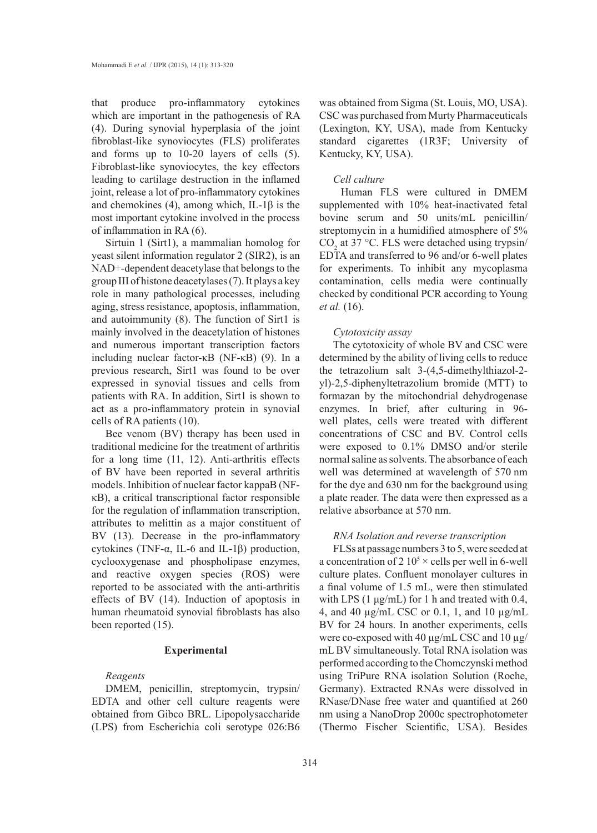that produce pro-inflammatory cytokines which are important in the pathogenesis of RA (4). During synovial hyperplasia of the joint fibroblast-like synoviocytes (FLS) proliferates and forms up to 10-20 layers of cells (5). Fibroblast-like synoviocytes, the key effectors leading to cartilage destruction in the inflamed joint, release a lot of pro-inflammatory cytokines and chemokines (4), among which, IL-1 $\beta$  is the most important cytokine involved in the process of inflammation in RA (6).

Sirtuin 1 (Sirt1), a mammalian homolog for yeast silent information regulator 2 (SIR2), is an NAD+-dependent deacetylase that belongs to the group III of histone deacetylases (7). It plays a key role in many pathological processes, including aging, stress resistance, apoptosis, inflammation, and autoimmunity (8). The function of Sirt1 is mainly involved in the deacetylation of histones and numerous important transcription factors including nuclear factor-κB (NF-κB) (9). In a previous research, Sirt1 was found to be over expressed in synovial tissues and cells from patients with RA. In addition, Sirt1 is shown to act as a pro-inflammatory protein in synovial cells of RA patients (10).

Bee venom (BV) therapy has been used in traditional medicine for the treatment of arthritis for a long time (11, 12). Anti-arthritis effects of BV have been reported in several arthritis models. Inhibition of nuclear factor kappaB (NFκB), a critical transcriptional factor responsible for the regulation of inflammation transcription, attributes to melittin as a major constituent of BV (13). Decrease in the pro-inflammatory cytokines (TNF-α, IL-6 and IL-1β) production, cyclooxygenase and phospholipase enzymes, and reactive oxygen species (ROS) were reported to be associated with the anti-arthritis effects of BV (14). Induction of apoptosis in human rheumatoid synovial fibroblasts has also been reported (15).

# **Experimental**

## *Reagents*

DMEM, penicillin, streptomycin, trypsin/ EDTA and other cell culture reagents were obtained from Gibco BRL. Lipopolysaccharide (LPS) from Escherichia coli serotype 026:B6 was obtained from Sigma (St. Louis, MO, USA). CSC was purchased from Murty Pharmaceuticals (Lexington, KY, USA), made from Kentucky standard cigarettes (1R3F; University of Kentucky, KY, USA).

## *Cell culture*

Human FLS were cultured in DMEM supplemented with 10% heat-inactivated fetal bovine serum and 50 units/mL penicillin/ streptomycin in a humidified atmosphere of 5%  $CO<sub>2</sub>$  at 37 °C. FLS were detached using trypsin/ EDTA and transferred to 96 and/or 6-well plates for experiments. To inhibit any mycoplasma contamination, cells media were continually checked by conditional PCR according to Young *et al.* (16).

### *Cytotoxicity assay*

The cytotoxicity of whole BV and CSC were determined by the ability of living cells to reduce the tetrazolium salt 3-(4,5-dimethylthiazol-2 yl)-2,5-diphenyltetrazolium bromide (MTT) to formazan by the mitochondrial dehydrogenase enzymes. In brief, after culturing in 96 well plates, cells were treated with different concentrations of CSC and BV. Control cells were exposed to 0.1% DMSO and/or sterile normal saline as solvents. The absorbance of each well was determined at wavelength of 570 nm for the dye and 630 nm for the background using a plate reader. The data were then expressed as a relative absorbance at 570 nm.

## *RNA Isolation and reverse transcription*

FLSs at passage numbers 3 to 5, were seeded at a concentration of 2  $10<sup>5</sup> \times$  cells per well in 6-well culture plates. Confluent monolayer cultures in a final volume of 1.5 mL, were then stimulated with LPS (1 μg/mL) for 1 h and treated with 0.4, 4, and 40 µg/mL CSC or 0.1, 1, and 10 µg/mL BV for 24 hours. In another experiments, cells were co-exposed with 40 µg/mL CSC and 10 µg/ mL BV simultaneously. Total RNA isolation was performed according to the Chomczynski method using TriPure RNA isolation Solution (Roche, Germany). Extracted RNAs were dissolved in RNase/DNase free water and quantified at 260 nm using a NanoDrop 2000c spectrophotometer (Thermo Fischer Scientific, USA). Besides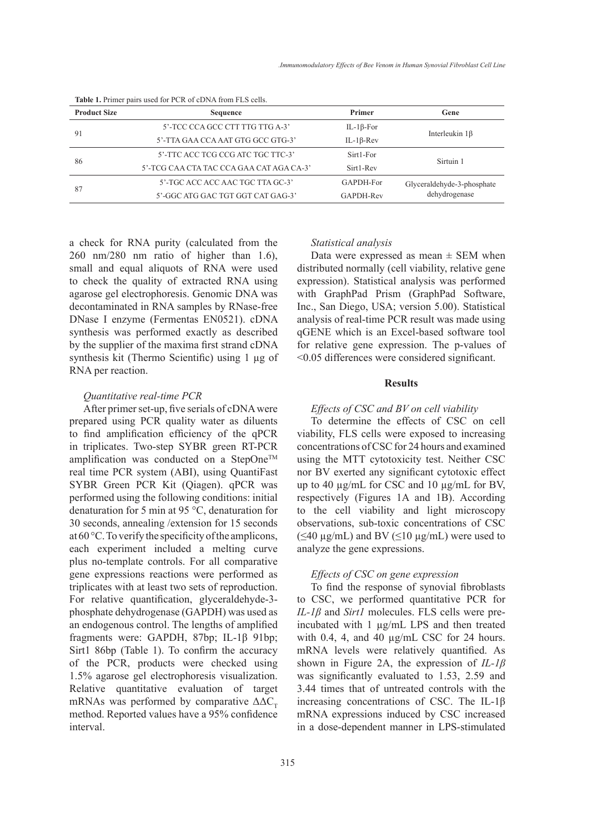| <b>Product Size</b> | Sequence                                 | Primer            | Gene                                        |
|---------------------|------------------------------------------|-------------------|---------------------------------------------|
| -91                 | 5'-TCC CCA GCC CTT TTG TTG A-3'          | IL-1 $\beta$ -For | Interleukin $1\beta$                        |
|                     | 5'-TTA GAA CCA AAT GTG GCC GTG-3'        | $IL-1\beta$ -Rev  |                                             |
| 86                  | 5'-TTC ACC TCG CCG ATC TGC TTC-3'        | Sirt1-For         | Sirtuin 1                                   |
|                     | 5'-TCG CAA CTA TAC CCA GAA CAT AGA CA-3' | Sirt1-Rev         |                                             |
| 87                  | 5'-TGC ACC ACC AAC TGC TTA GC-3'         | GAPDH-For         | Glyceraldehyde-3-phosphate<br>dehydrogenase |
|                     | 5'-GGC ATG GAC TGT GGT CAT GAG-3'        | GAPDH-Rev         |                                             |

**Table 1.** Primer pairs used for PCR of cDNA from FLS cells.

a check for RNA purity (calculated from the 260 nm/280 nm ratio of higher than 1.6), small and equal aliquots of RNA were used to check the quality of extracted RNA using agarose gel electrophoresis. Genomic DNA was decontaminated in RNA samples by RNase-free DNase I enzyme (Fermentas EN0521). cDNA synthesis was performed exactly as described by the supplier of the maxima first strand cDNA synthesis kit (Thermo Scientific) using 1 µg of RNA per reaction.

## *Quantitative real-time PCR*

After primer set-up, five serials of cDNA were prepared using PCR quality water as diluents to find amplification efficiency of the qPCR in triplicates. Two-step SYBR green RT-PCR amplification was conducted on a StepOne<sup>TM</sup> real time PCR system (ABI), using QuantiFast SYBR Green PCR Kit (Qiagen). qPCR was performed using the following conditions: initial denaturation for 5 min at 95 °C, denaturation for 30 seconds, annealing /extension for 15 seconds at 60 °C. To verify the specificity of the amplicons, each experiment included a melting curve plus no-template controls. For all comparative gene expressions reactions were performed as triplicates with at least two sets of reproduction. For relative quantification, glyceraldehyde-3 phosphate dehydrogenase (GAPDH) was used as an endogenous control. The lengths of amplified fragments were: GAPDH, 87bp; IL-1β 91bp; Sirt1 86bp (Table 1). To confirm the accuracy of the PCR, products were checked using 1.5% agarose gel electrophoresis visualization. Relative quantitative evaluation of target mRNAs was performed by comparative  $\Delta \Delta C_{\tau}$ method. Reported values have a 95% confidence interval.

### *Statistical analysis*

Data were expressed as mean  $\pm$  SEM when distributed normally (cell viability, relative gene expression). Statistical analysis was performed with GraphPad Prism (GraphPad Software, Inc., San Diego, USA; version 5.00). Statistical analysis of real-time PCR result was made using qGENE which is an Excel-based software tool for relative gene expression. The p-values of <0.05 differences were considered significant.

## **Results**

# *Effects of CSC and BV on cell viability*

To determine the effects of CSC on cell viability, FLS cells were exposed to increasing concentrations of CSC for 24 hours and examined using the MTT cytotoxicity test. Neither CSC nor BV exerted any significant cytotoxic effect up to 40 µg/mL for CSC and 10 µg/mL for BV, respectively (Figures 1A and 1B). According to the cell viability and light microscopy observations, sub-toxic concentrations of CSC (≤40 μg/mL) and BV (≤10 μg/mL) were used to analyze the gene expressions.

# *Effects of CSC on gene expression*

To find the response of synovial fibroblasts to CSC, we performed quantitative PCR for *IL-1β* and *Sirt1* molecules. FLS cells were preincubated with 1 µg/mL LPS and then treated with 0.4, 4, and 40  $\mu$ g/mL CSC for 24 hours. mRNA levels were relatively quantified. As shown in Figure 2A, the expression of *IL-1β* was significantly evaluated to 1.53, 2.59 and 3.44 times that of untreated controls with the increasing concentrations of CSC. The IL-1β mRNA expressions induced by CSC increased in a dose-dependent manner in LPS-stimulated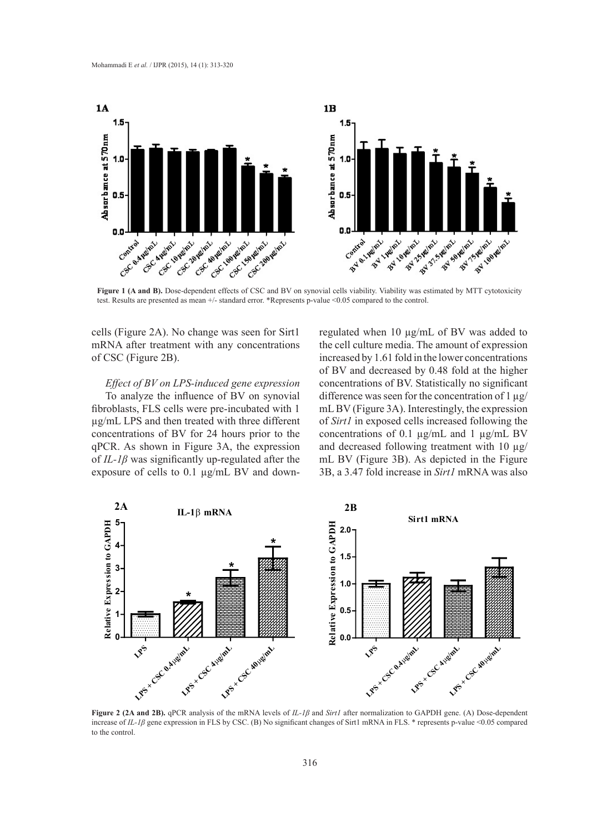

Figure 1 (A and B). Dose-dependent effects of CSC and BV on synovial cells viability. Viability was estimated by MTT cytotoxicity test. Results are presented as mean +/- standard error. \*Represents p-value <0.05 compared to the control.

cells (Figure 2A). No change was seen for Sirt1 mRNA after treatment with any concentrations of CSC (Figure 2B).

#### *Effect of BV on LPS-induced gene expression*

To analyze the influence of BV on synovial fibroblasts, FLS cells were pre-incubated with 1 µg/mL LPS and then treated with three different concentrations of BV for 24 hours prior to the qPCR. As shown in Figure 3A, the expression of *IL-1β* was significantly up-regulated after the exposure of cells to 0.1 µg/mL BV and downregulated when 10 µg/mL of BV was added to the cell culture media. The amount of expression increased by 1.61 fold in the lower concentrations of BV and decreased by 0.48 fold at the higher concentrations of BV. Statistically no significant difference was seen for the concentration of  $1 \mu g$ / mL BV (Figure 3A). Interestingly, the expression of *Sirt1* in exposed cells increased following the concentrations of 0.1 µg/mL and 1 µg/mL BV and decreased following treatment with 10  $\mu$ g/ mL BV (Figure 3B). As depicted in the Figure 3B, a 3.47 fold increase in *Sirt1* mRNA was also



**Figure 2 (2A and 2B).** qPCR analysis of the mRNA levels of *IL-1β* and *Sirt1* after normalization to GAPDH gene. (A) Dose-dependent increase of *IL-1β* gene expression in FLS by CSC. (B) No significant changes of Sirt1 mRNA in FLS. \* represents p-value <0.05 compared to the control.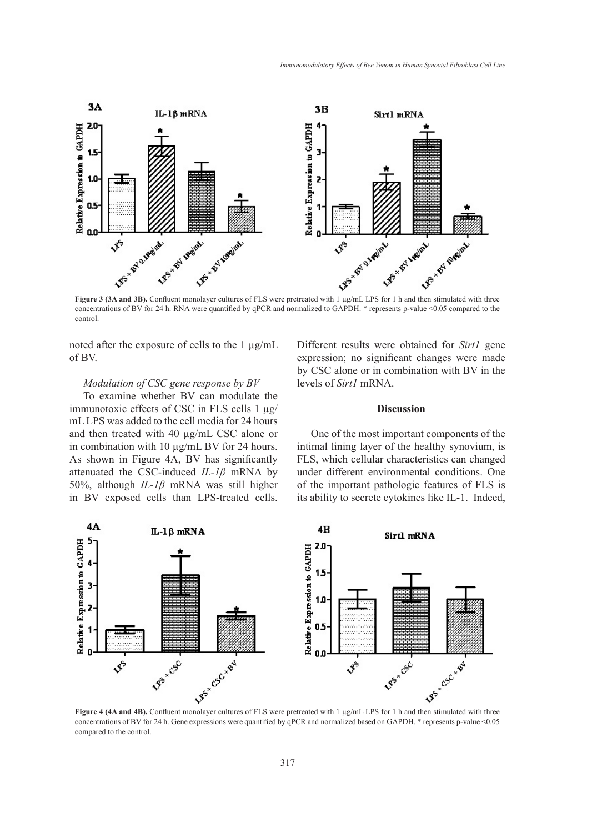

concentrations of BV for 24 h. RNA were quantified by qPCR and normalized to GAPDH. \* represents p-value <0.05 compared to the control.

noted after the exposure of cells to the  $1 \mu g/mL$ of BV.

# *Modulation of CSC gene response by BV*

To examine whether BV can modulate the immunotoxic effects of CSC in FLS cells 1 µg/ mL LPS was added to the cell media for 24 hours and then treated with 40 µg/mL CSC alone or in combination with 10 µg/mL BV for 24 hours. As shown in Figure 4A, BV has significantly attenuated the CSC-induced *IL-1β* mRNA by 50%, although *IL-1β* mRNA was still higher in BV exposed cells than LPS-treated cells. Different results were obtained for *Sirt1* gene expression; no significant changes were made by CSC alone or in combination with BV in the levels of *Sirt1* mRNA.

# **Discussion**

One of the most important components of the intimal lining layer of the healthy synovium, is FLS, which cellular characteristics can changed under different environmental conditions. One of the important pathologic features of FLS is its ability to secrete cytokines like IL-1. Indeed,



concentrations of BV for 24 h. Gene expressions were quantified by qPCR and normalized based on GAPDH. \* represents p-value <0.05 compared to the control.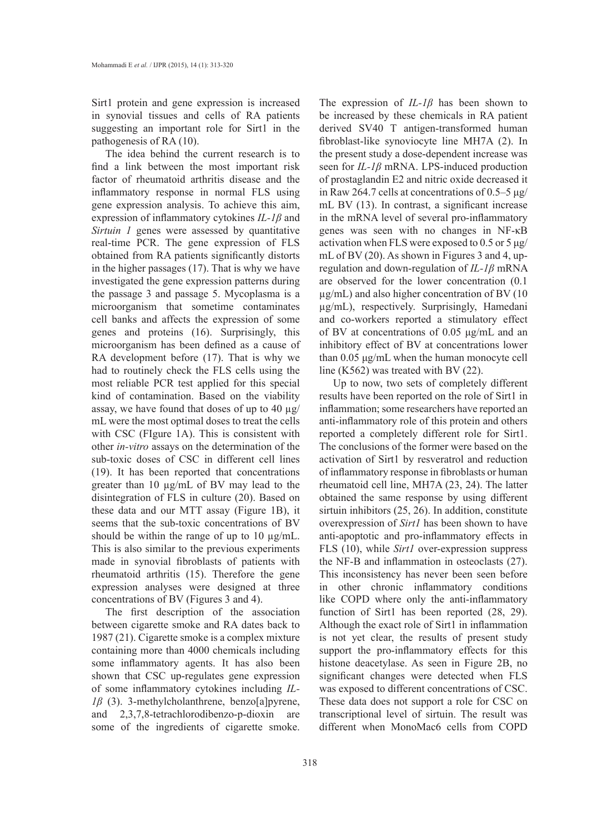Sirt1 protein and gene expression is increased in synovial tissues and cells of RA patients suggesting an important role for Sirt1 in the pathogenesis of RA (10).

The idea behind the current research is to find a link between the most important risk factor of rheumatoid arthritis disease and the inflammatory response in normal FLS using gene expression analysis. To achieve this aim, expression of inflammatory cytokines *IL-1β* and *Sirtuin 1* genes were assessed by quantitative real-time PCR. The gene expression of FLS obtained from RA patients significantly distorts in the higher passages (17). That is why we have investigated the gene expression patterns during the passage 3 and passage 5. Mycoplasma is a microorganism that sometime contaminates cell banks and affects the expression of some genes and proteins (16). Surprisingly, this microorganism has been defined as a cause of RA development before (17). That is why we had to routinely check the FLS cells using the most reliable PCR test applied for this special kind of contamination. Based on the viability assay, we have found that doses of up to 40  $\mu$ g/ mL were the most optimal doses to treat the cells with CSC (FIgure 1A). This is consistent with other *in-vitro* assays on the determination of the sub-toxic doses of CSC in different cell lines (19). It has been reported that concentrations greater than 10 µg/mL of BV may lead to the disintegration of FLS in culture (20). Based on these data and our MTT assay (Figure 1B), it seems that the sub-toxic concentrations of BV should be within the range of up to 10  $\mu$ g/mL. This is also similar to the previous experiments made in synovial fibroblasts of patients with rheumatoid arthritis (15). Therefore the gene expression analyses were designed at three concentrations of BV (Figures 3 and 4).

The first description of the association between cigarette smoke and RA dates back to 1987 (21). Cigarette smoke is a complex mixture containing more than 4000 chemicals including some inflammatory agents. It has also been shown that CSC up-regulates gene expression of some inflammatory cytokines including *IL-1β* (3). 3-methylcholanthrene, benzo[a]pyrene, and 2,3,7,8-tetrachlorodibenzo-p-dioxin are some of the ingredients of cigarette smoke.

The expression of *IL-1β* has been shown to be increased by these chemicals in RA patient derived SV40 T antigen-transformed human fibroblast-like synoviocyte line MH7A (2). In the present study a dose-dependent increase was seen for *IL-1β* mRNA. LPS-induced production of prostaglandin E2 and nitric oxide decreased it in Raw 264.7 cells at concentrations of 0.5–5 μg/ mL BV (13). In contrast, a significant increase in the mRNA level of several pro-inflammatory genes was seen with no changes in NF-κB activation when FLS were exposed to 0.5 or 5 μg/ mL of BV (20). As shown in Figures 3 and 4, upregulation and down-regulation of *IL-1β* mRNA are observed for the lower concentration (0.1  $\mu$ g/mL) and also higher concentration of BV (10 µg/mL), respectively. Surprisingly, Hamedani and co-workers reported a stimulatory effect of BV at concentrations of 0.05 μg/mL and an inhibitory effect of BV at concentrations lower than 0.05 μg/mL when the human monocyte cell line (K562) was treated with BV (22).

Up to now, two sets of completely different results have been reported on the role of Sirt1 in inflammation; some researchers have reported an anti-inflammatory role of this protein and others reported a completely different role for Sirt1. The conclusions of the former were based on the activation of Sirt1 by resveratrol and reduction of inflammatory response in fibroblasts or human rheumatoid cell line, MH7A (23, 24). The latter obtained the same response by using different sirtuin inhibitors (25, 26). In addition, constitute overexpression of *Sirt1* has been shown to have anti-apoptotic and pro-inflammatory effects in FLS (10), while *Sirt1* over-expression suppress the NF-B and inflammation in osteoclasts (27). This inconsistency has never been seen before in other chronic inflammatory conditions like COPD where only the anti-inflammatory function of Sirt1 has been reported (28, 29). Although the exact role of Sirt1 in inflammation is not yet clear, the results of present study support the pro-inflammatory effects for this histone deacetylase. As seen in Figure 2B, no significant changes were detected when FLS was exposed to different concentrations of CSC. These data does not support a role for CSC on transcriptional level of sirtuin. The result was different when MonoMac6 cells from COPD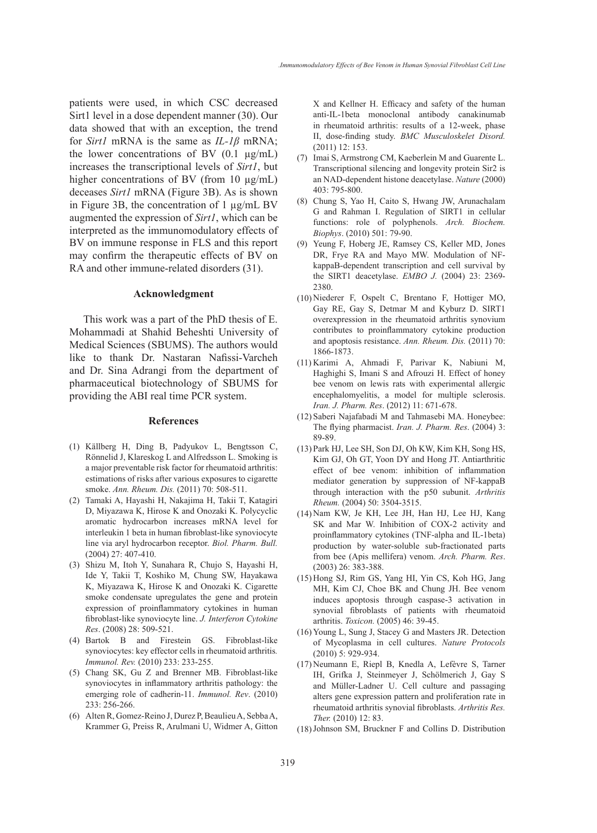patients were used, in which CSC decreased Sirt1 level in a dose dependent manner (30). Our data showed that with an exception, the trend for *Sirt1* mRNA is the same as *IL-1β* mRNA; the lower concentrations of BV  $(0.1 \text{ µg/mL})$ increases the transcriptional levels of *Sirt1*, but higher concentrations of BV (from 10 µg/mL) deceases *Sirt1* mRNA (Figure 3B). As is shown in Figure 3B, the concentration of 1 µg/mL BV augmented the expression of *Sirt1*, which can be interpreted as the immunomodulatory effects of BV on immune response in FLS and this report may confirm the therapeutic effects of BV on RA and other immune-related disorders (31).

#### **Acknowledgment**

This work was a part of the PhD thesis of E. Mohammadi at Shahid Beheshti University of Medical Sciences (SBUMS). The authors would like to thank Dr. Nastaran Nafissi-Varcheh and Dr. Sina Adrangi from the department of pharmaceutical biotechnology of SBUMS for providing the ABI real time PCR system.

#### **References**

- (1) Källberg H, Ding B, Padyukov L, Bengtsson C, Rönnelid J, Klareskog L and Alfredsson L. Smoking is a major preventable risk factor for rheumatoid arthritis: estimations of risks after various exposures to cigarette smoke. *Ann. Rheum. Dis.* (2011) 70: 508-511.
- Tamaki A, Hayashi H, Nakajima H, Takii T, Katagiri (2) D, Miyazawa K, Hirose K and Onozaki K. Polycyclic aromatic hydrocarbon increases mRNA level for interleukin 1 beta in human fibroblast-like synoviocyte line via aryl hydrocarbon receptor. *Biol. Pharm. Bull.* (2004) 27: 407-410.
- (3) Shizu M, Itoh Y, Sunahara R, Chujo S, Hayashi H, Ide Y, Takii T, Koshiko M, Chung SW, Hayakawa K, Miyazawa K, Hirose K and Onozaki K. Cigarette smoke condensate upregulates the gene and protein expression of proinflammatory cytokines in human fibroblast-like synoviocyte line. *J. Interferon Cytokine Res*. (2008) 28: 509-521.
- Bartok B and Firestein GS. Fibroblast-like (4) synoviocytes: key effector cells in rheumatoid arthritis*. Immunol. Rev.* (2010) 233: 233-255.
- Chang SK, Gu Z and Brenner MB. Fibroblast-like (5) synoviocytes in inflammatory arthritis pathology: the emerging role of cadherin-11. *Immunol. Rev*. (2010) 233: 256-266.
- Alten R, Gomez-Reino J, Durez P, Beaulieu A, Sebba A, (6) Krammer G, Preiss R, Arulmani U, Widmer A, Gitton

X and Kellner H. Efficacy and safety of the human anti-IL-1beta monoclonal antibody canakinumab in rheumatoid arthritis: results of a 12-week, phase II, dose-finding study. *BMC Musculoskelet Disord.* (2011) 12: 153.

- (7) Imai S, Armstrong CM, Kaeberlein M and Guarente L. Transcriptional silencing and longevity protein Sir2 is an NAD-dependent histone deacetylase. *Nature* (2000) 403: 795-800.
- Chung S, Yao H, Caito S, Hwang JW, Arunachalam (8) G and Rahman I. Regulation of SIRT1 in cellular functions: role of polyphenols. *Arch. Biochem. Biophys*. (2010) 501: 79-90.
- (9) Yeung F, Hoberg JE, Ramsey CS, Keller MD, Jones DR, Frye RA and Mayo MW. Modulation of NFkappaB-dependent transcription and cell survival by the SIRT1 deacetylase. *EMBO J.* (2004) 23: 2369- 2380.
- (10) Niederer F, Ospelt C, Brentano F, Hottiger MO, Gay RE, Gay S, Detmar M and Kyburz D. SIRT1 overexpression in the rheumatoid arthritis synovium contributes to proinflammatory cytokine production and apoptosis resistance. *Ann. Rheum. Dis.* (2011) 70: 1866-1873.
- Karimi A, Ahmadi F, Parivar K, Nabiuni M, (11) Haghighi S, Imani S and Afrouzi H. Effect of honey bee venom on lewis rats with experimental allergic encephalomyelitis, a model for multiple sclerosis. *Iran. J. Pharm. Res*. (2012) 11: 671-678.
- (12) Saberi Najafabadi M and Tahmasebi MA. Honeybee: The flying pharmacist. *Iran. J. Pharm. Res*. (2004) 3: 89-89.
- (13) Park HJ, Lee SH, Son DJ, Oh KW, Kim KH, Song HS, Kim GJ, Oh GT, Yoon DY and Hong JT. Antiarthritic effect of bee venom: inhibition of inflammation mediator generation by suppression of NF-kappaB through interaction with the p50 subunit. *Arthritis Rheum.* (2004) 50: 3504-3515.
- (14) Nam KW, Je KH, Lee JH, Han HJ, Lee HJ, Kang SK and Mar W. Inhibition of COX-2 activity and proinflammatory cytokines (TNF-alpha and IL-1beta) production by water-soluble sub-fractionated parts from bee (Apis mellifera) venom. *Arch. Pharm. Res*. (2003) 26: 383-388.
- (15) Hong SJ, Rim GS, Yang HI, Yin CS, Koh HG, Jang MH, Kim CJ, Choe BK and Chung JH. Bee venom induces apoptosis through caspase-3 activation in synovial fibroblasts of patients with rheumatoid arthritis. *Toxicon.* (2005) 46: 39-45.
- (16) Young L, Sung J, Stacey G and Masters JR. Detection of Mycoplasma in cell cultures. *Nature Protocols* (2010) 5: 929-934.
- (17) Neumann E, Riepl B, Knedla A, Lefèvre S, Tarner IH, Grifka J, Steinmeyer J, Schölmerich J, Gay S and Müller-Ladner U. Cell culture and passaging alters gene expression pattern and proliferation rate in rheumatoid arthritis synovial fibroblasts. *Arthritis Res. Ther.* (2010) 12: 83.
- (18) Johnson SM, Bruckner F and Collins D. Distribution